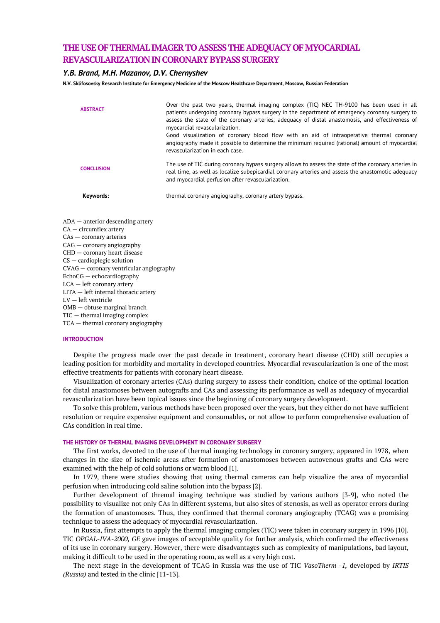# **THE USE OF THERMAL IMAGER TO ASSESS THE ADEQUACY OF MYOCARDIAL REVASCULARIZATION INCORONARY BYPASS SURGERY**

# *Y.B. Brand, M.H. Mazanov, D.V. Chernyshev*

**N.V. Sklifosovsky Research Institute for Emergency Medicine of the Moscow Healthcare Department, Moscow, Russian Federation**

| <b>ABSTRACT</b>   | Over the past two years, thermal imaging complex (TIC) NEC TH-9100 has been used in all<br>patients undergoing coronary bypass surgery in the department of emergency coronary surgery to<br>assess the state of the coronary arteries, adequacy of distal anastomosis, and effectiveness of<br>myocardial revascularization.<br>Good visualization of coronary blood flow with an aid of intraoperative thermal coronary<br>angiography made it possible to determine the minimum required (rational) amount of myocardial |
|-------------------|-----------------------------------------------------------------------------------------------------------------------------------------------------------------------------------------------------------------------------------------------------------------------------------------------------------------------------------------------------------------------------------------------------------------------------------------------------------------------------------------------------------------------------|
|                   | revascularization in each case.                                                                                                                                                                                                                                                                                                                                                                                                                                                                                             |
| <b>CONCLUSION</b> | The use of TIC during coronary bypass surgery allows to assess the state of the coronary arteries in<br>real time, as well as localize subepicardial coronary arteries and assess the anastomotic adequacy<br>and myocardial perfusion after revascularization.                                                                                                                                                                                                                                                             |
| Keywords:         | thermal coronary angiography, coronary artery bypass.                                                                                                                                                                                                                                                                                                                                                                                                                                                                       |

ADA — anterior descending artery CA — circumflex artery CAs — coronary arteries CAG — coronary angiography CHD — coronary heart disease CS — cardioplegic solution CVAG — coronary ventricular angiography EchoCG — echocardiography LCA — left coronary artery LITA — left internal thoracic artery LV — left ventricle OMB — obtuse marginal branch TIC — thermal imaging complex TCA — thermal coronary angiography

# **INTRODUCTION**

Despite the progress made over the past decade in treatment, coronary heart disease (CHD) still occupies a leading position for morbidity and mortality in developed countries. Myocardial revascularization is one of the most effective treatments for patients with coronary heart disease.

Visualization of coronary arteries (CAs) during surgery to assess their condition, choice of the optimal location for distal anastomoses between autografts and CAs and assessing its performance as well as adequacy of myocardial revascularization have been topical issues since the beginning of coronary surgery development.

To solve this problem, various methods have been proposed over the years, but they either do not have sufficient resolution or require expensive equipment and consumables, or not allow to perform comprehensive evaluation of CAs condition in real time.

# **THE HISTORY OF THERMAL IMAGING DEVELOPMENT IN CORONARY SURGERY**

The first works, devoted to the use of thermal imaging technology in coronary surgery, appeared in 1978, when changes in the size of ischemic areas after formation of anastomoses between autovenous grafts and CAs were examined with the help of cold solutions or warm blood [1].

In 1979, there were studies showing that using thermal cameras can help visualize the area of myocardial perfusion when introducing cold saline solution into the bypass [2].

Further development of thremal imaging technique was studied by various authors [3-9], who noted the possibility to visualize not only CAs in different systems, but also sites of stenosis, as well as operator errors during the formation of anastomoses. Thus, they confirmed that thermal coronary angiography (TCAG) was a promising technique to assess the adequacy of myocardial revascularization.

In Russia, first attempts to apply the thermal imaging complex (TIC) were taken in coronary surgery in 1996 [10]. TIC *OPGAL-IVA-2000, GE* gave images of acceptable quality for further analysis, which confirmed the effectiveness of its use in coronary surgery. However, there were disadvantages such as complexity of manipulations, bad layout, making it difficult to be used in the operating room, as well as a very high cost.

The next stage in the development of TCAG in Russia was the use of TIC *VasoTherm -1,* developed by *IRTIS (Russia)* and tested in the clinic [11-13].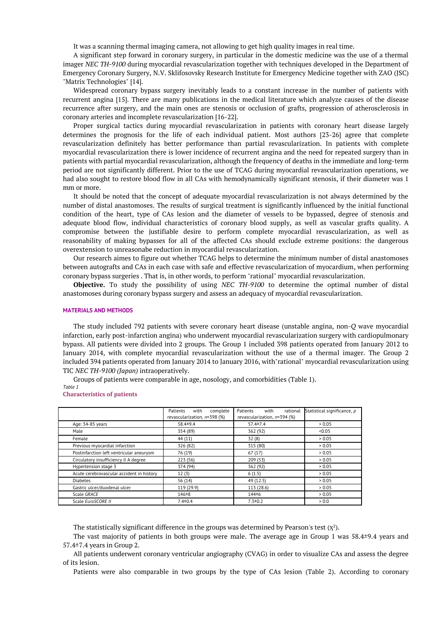It was a scanning thermal imaging camera, not allowing to get high quality images in real time.

A significant step forward in coronary surgery, in particular in the domestic medicine was the use of a thermal imager *NEC TH-9100* during myocardial revascularization together with techniques developed in the Department of Emergency Coronary Surgery, N.V. Sklifosovsky Research Institute for Emergency Medicine together with ZAO (JSC) "Matrix Technologies" [14].

Widespread coronary bypass surgery inevitably leads to a constant increase in the number of patients with recurrent angina [15]. There are many publications in the medical literature which analyze causes of the disease recurrence after surgery, and the main ones are stenosis or occlusion of grafts, progression of atherosclerosis in coronary arteries and incomplete revascularization [16-22].

Proper surgical tactics during myocardial revascularization in patients with coronary heart disease largely determines the prognosis for the life of each individual patient. Most authors [23-26] agree that complete revascularization definitely has better performance than partial revascularization. In patients with complete myocardial revascularization there is lower incidence of recurrent angina and the need for repeated surgery than in patients with partial myocardial revascularization, although the frequency of deaths in the immediate and long-term period are not significantly different. Prior to the use of TCAG during myocardial revascularization operations, we had also sought to restore blood flow in all CAs with hemodynamically significant stenosis, if their diameter was 1 mm or more.

It should be noted that the concept of adequate myocardial revascularization is not always determined by the number of distal anastomoses. The results of surgical treatment is significantly influenced by the initial functional condition of the heart, type of CAs lesion and the diameter of vessels to be bypassed, degree of stenosis and adequate blood flow, individual characteristics of coronary blood supply, as well as vascular grafts quality. A compromise between the justifiable desire to perform complete myocardial revascularization, as well as reasonability of making bypasses for all of the affected CAs should exclude extreme positions: the dangerous overextension to unreasonabe reduction in myocardial revascularization.

Our research aimes to figure out whether TCAG helps to determine the minimum number of distal anastomoses between autografts and CAs in each case with safe and effective revascularization of myocardium, when performing coronary bypass surgeries . That is, in other words, to perform "rational" myocardial revascularization.

**Objective.** To study the possibility of using *NEC TH-9100* to determine the optimal number of distal anastomoses during coronary bypass surgery and assess an adequacy of myocardial revascularization.

# **MATERIALS AND METHODS**

The study included 792 patients with severe coronary heart disease (unstable angina, non*-Q* wave myocardial infarction, early post-infarction angina) who underwent myocardial revascularization surgery with cardiopulmonary bypass. All patients were divided into 2 groups. The Group 1 included 398 patients operated from January 2012 to January 2014, with complete myocardial revascularization without the use of a thermal imager. The Group 2 included 394 patients operated from January 2014 to January 2016, with"rational" myocardial revascularization using TIC *NEC TH-9100 (Japan)* intraoperatively.

Groups of patients were comparable in age, nosology, and comorbidities (Table 1).

*Table 1*

## **Characteristics of patients**

|                                           | Patients<br>with<br>complete<br>revascularization, n=398 (%) | Patients<br>with<br>rational<br>revascularization, n=394 (%) | Statistical significance, p |
|-------------------------------------------|--------------------------------------------------------------|--------------------------------------------------------------|-----------------------------|
| Age: 34-85 years                          | $58.4+9.4$                                                   | $57.4 \pm 7.4$                                               | > 0.05                      |
| Male                                      | 354 (89)                                                     | 362 (92)                                                     | < 0.05                      |
| Female                                    | 44 (11)                                                      | 32(8)                                                        | > 0.05                      |
| Previous myocardial infarction            | 326 (82)                                                     | 315 (80)                                                     | > 0.05                      |
| Postinfarction left ventricular aneurysm  | 76 (19)                                                      | 67(17)                                                       | > 0.05                      |
| Circulatory insufficiency II A degree     | 223 (56)                                                     | 209 (53)                                                     | > 0.05                      |
| Hypertension stage 3                      | 374 (94)                                                     | 362 (92)                                                     | > 0.05                      |
| Acute cerebrovascular accident in history | 12(3)                                                        | 6(1.5)                                                       | > 0.05                      |
| <b>Diabetes</b>                           | 56 (14)                                                      | 49 (12.5)                                                    | > 0.05                      |
| Gastric ulcer/duodenal ulcer              | 119 (29.9)                                                   | 113 (28.6)                                                   | > 0.05                      |
| Scale GRACE                               | $146 \pm 8$                                                  | $144 + 6$                                                    | > 0.05                      |
| Scale EuroSCORE II                        | $7.4 \pm 0.4$                                                | $7.3 \pm 0.2$                                                | > 0.0                       |

The statistically significant difference in the groups was determined by Pearson's test  $(x^2)$ .

The vast majority of patients in both groups were male. The average age in Group 1 was 58.4±9.4 years and 57.4±7.4 years in Group 2.

All patients underwent coronary ventricular angiography (CVAG) in order to visualize CAs and assess the degree of its lesion.

Patients were also comparable in two groups by the type of CAs lesion (Table 2). According to coronary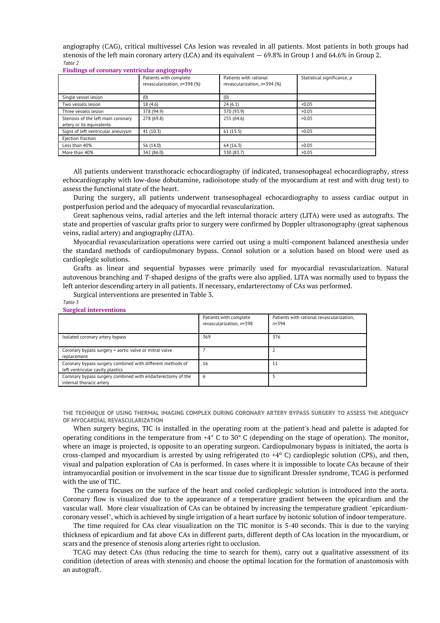angiography (CAG), critical multivessel CAs lesion was revealed in all patients. Most patients in both groups had stenosis of the left main coronary artery (LCA) and its equivalent — 69.8% in Group 1 and 64.6% in Group 2. *Table 2*

**Findings of coronary ventricular angiography**

|                                                                 | Patients with complete<br>revascularization, n=398 (%) | Patients with rational<br>revascularization, n=394 (%) | Statistical significance, p |
|-----------------------------------------------------------------|--------------------------------------------------------|--------------------------------------------------------|-----------------------------|
| Single vessel lesion                                            | (0)                                                    | (0)                                                    |                             |
| Two vessels lesion                                              | 18 (4.6)                                               | 24(6.1)                                                | < 0.05                      |
| Three vessels lesion                                            | 378 (94.9)                                             | 370 (93.9)                                             | >0.05                       |
| Stenosis of the left main coronary<br>artery or its equivalents | 278 (69.8)                                             | 255 (64.6)                                             | >0.05                       |
| Signs of left ventricular aneurysm                              | 41 (10.3)                                              | 61(15.5)                                               | < 0.05                      |
| Ejection fraction                                               |                                                        |                                                        |                             |
| Less than 40%                                                   | 56 (14.0)                                              | 64 (16.3)                                              | >0.05                       |
| More than 40%                                                   | 342 (86.0)                                             | 330 (83.7)                                             | >0.05                       |

All patients underwent transthoracic echocardiography (if indicated, transesophageal echocardiography, stress echocardiography with low-dose dobutamine, radioisotope study of the myocardium at rest and with drug test) to assess the functional state of the heart.

During the surgery, all patients underwent transesophageal echocardiography to assess cardiac output in postperfusion period and the adequacy of myocardial revascularization.

Great saphenous veins, radial arteries and the left internal thoracic artery (LITA) were used as autografts. The state and properties of vascular grafts prior to surgery were confirmed by Doppler ultrasonography (great saphenous veins, radial artery) and angiography (LITA).

Myocardial revascularization operations were carried out using a multi-component balanced anesthesia under the standard methods of cardiopulmonary bypass. Consol solution or a solution based on blood were used as cardioplegic solutions.

Grafts as linear and sequential bypasses were primarily used for myocardial revascularization. Natural autovenous branching and *T*-shaped designs of the grafts were also applied. LITA was normally used to bypass the left anterior descending artery in all patients. If necessary, endarterectomy of CAs was performed.

Surgical interventions are presented in Table 3.

#### *Table 3* **Surgical interventions**

| $5.0002$ and $0.0000$ and $0.0000$                                                             |                                                    |                                                        |  |  |
|------------------------------------------------------------------------------------------------|----------------------------------------------------|--------------------------------------------------------|--|--|
|                                                                                                | Patients with complete<br>revascularization, n=398 | Patients with rational revascularization,<br>$n = 394$ |  |  |
| Isolated coronary artery bypass                                                                | 369                                                | 376                                                    |  |  |
| Coronary bypass surgery + aortic valve or mitral valve<br>replacement                          |                                                    |                                                        |  |  |
| Coronary bypass surgery combined with different methods of<br>left ventricular cavity plastics | 16                                                 | 11                                                     |  |  |
| Coronary bypass surgery combined with endarterectomy of the<br>internal thoracic artery        | 6                                                  | 5                                                      |  |  |

**THE TECHNIQUE OF USING THERMAL IMAGING COMPLEX DURING CORONARY ARTERY BYPASS SURGERY TO ASSESS THE ADEQUACY OF MYOCARDIAL REVASCULARIZATION**

When surgery begins, TIC is installed in the operating room at the patient's head and palette is adapted for operating conditions in the temperature from +4° C to 30° C (depending on the stage of operation). The monitor, where an image is projected, is opposite to an operating surgeon. Cardiopulmonary bypass is initiated, the aorta is cross-clamped and myocardium is arrested by using refrigerated (to  $+4^{\circ}$  C) cardioplegic solution (CPS), and then, visual and palpation exploration of CAs is performed. In cases where it is impossible to locate CAs because of their intramyocardial position or involvement in the scar tissue due to significant Dressler syndrome, TCAG is performed with the use of TIC.

The camera focuses on the surface of the heart and cooled cardioplegic solution is introduced into the aorta. Coronary flow is visualized due to the appearance of a temperature gradient between the epicardium and the vascular wall. More clear visualization of CAs can be obtained by increasing the temperature gradient "epicardiumcoronary vessel", which is achieved by single irrigation of a heart surface by isotonic solution of indoor temperature.

The time required for CAs clear visualization on the TIC monitor is 5-40 seconds. This is due to the varying thickness of epicardium and fat above CAs in different parts, different depth of CAs location in the myocardium, or scars and the presence of stenosis along arteries right to occlusion.

TCAG may detect CAs (thus reducing the time to search for them), carry out a qualitative assessment of its condition (detection of areas with stenosis) and choose the optimal location for the formation of anastomosis with an autograft.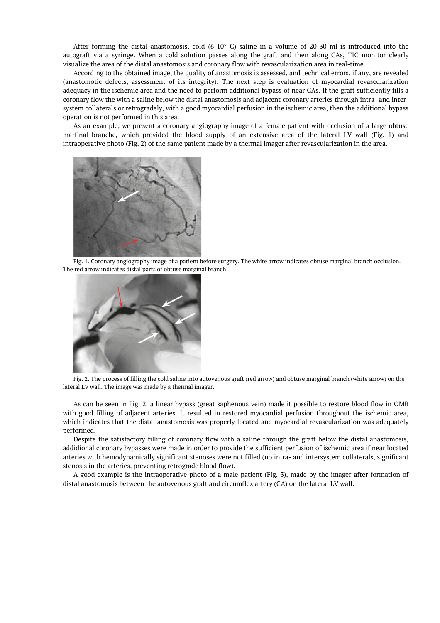After forming the distal anastomosis, cold  $(6-10^{\circ} \text{ C})$  saline in a volume of 20-30 ml is introduced into the autograft via a syringe. When a cold solution passes along the graft and then along CAs, TIC monitor clearly visualize the area of the distal anastomosis and coronary flow with revascularization area in real-time.

According to the obtained image, the quality of anastomosis is assessed, and technical errors, if any, are revealed (anastomotic defects, assessment of its integrity). The next step is evaluation of myocardial revascularization adequacy in the ischemic area and the need to perform additional bypass of near CAs. If the graft sufficiently fills a coronary flow the with a saline below the distal anastomosis and adjacent coronary arteries through intra- and intersystem collaterals or retrogradely, with a good myocardial perfusion in the ischemic area, then the additional bypass operation is not performed in this area.

As an example, we present a coronary angiography image of a female patient with occlusion of a large obtuse marfinal branche, which provided the blood supply of an extensive area of the lateral LV wall (Fig. 1) and intraoperative photo (Fig. 2) of the same patient made by a thermal imager after revascularization in the area.



Fig. 1. Coronary angiography image of a patient before surgery. The white arrow indicates obtuse marginal branch occlusion. The red arrow indicates distal parts of obtuse marginal branch



Fig. 2. The process of filling the cold saline into autovenous graft (red arrow) and obtuse marginal branch (white arrow) on the lateral LV wall. The image was made by a thermal imager.

As can be seen in Fig. 2, a linear bypass (great saphenous vein) made it possible to restore blood flow in OMB with good filling of adjacent arteries. It resulted in restored myocardial perfusion throughout the ischemic area, which indicates that the distal anastomosis was properly located and myocardial revascularization was adequately performed.

Despite the satisfactory filling of coronary flow with a saline through the graft below the distal anastomosis, addidional coronary bypasses were made in order to provide the sufficient perfusion of ischemic area if near located arteries with hemodynamically significant stenoses were not filled (no intra- and intersystem collaterals, significant stenosis in the arteries, preventing retrograde blood flow).

A good example is the intraoperative photo of a male patient (Fig. 3), made by the imager after formation of distal anastomosis between the autovenous graft and circumflex artery (CA) on the lateral LV wall.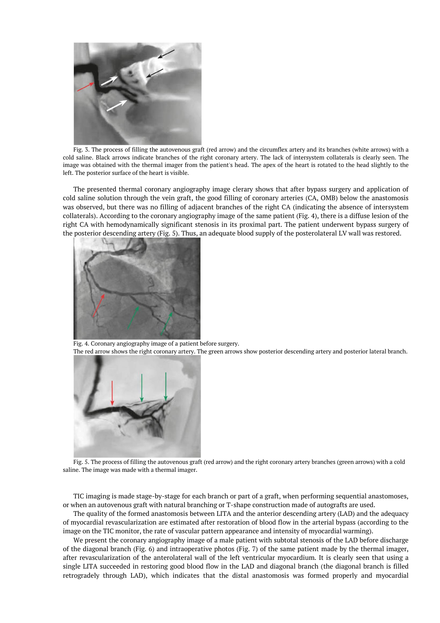

Fig. 3. The process of filling the autovenous graft (red arrow) and the circumflex artery and its branches (white arrows) with a cold saline. Black arrows indicate branches of the right coronary artery. The lack of intersystem collaterals is clearly seen. The image was obtained with the thermal imager from the patient's head. The apex of the heart is rotated to the head slightly to the left. The posterior surface of the heart is visible.

The presented thermal coronary angiography image clerary shows that after bypass surgery and application of cold saline solution through the vein graft, the good filling of coronary arteries (CA, OMB) below the anastomosis was observed, but there was no filling of adjacent branches of the right CA (indicating the absence of intersystem collaterals). According to the coronary angiography image of the same patient (Fig. 4), there is a diffuse lesion of the right CA with hemodynamically significant stenosis in its proximal part. The patient underwent bypass surgery of the posterior descending artery (Fig. 5). Thus, an adequate blood supply of the posterolateral LV wall was restored.



Fig. 4. Coronary angiography image of a patient before surgery. The red arrow shows the right coronary artery. The green arrows show posterior descending artery and posterior lateral branch.



Fig. 5. The process of filling the autovenous graft (red arrow) and the right coronary artery branches (green arrows) with a cold saline. The image was made with a thermal imager.

TIC imaging is made stage-by-stage for each branch or part of a graft, when performing sequential anastomoses, or when an autovenous graft with natural branching or T-shape construction made of autografts are used.

The quality of the formed anastomosis between LITA and the anterior descending artery (LAD) and the adequacy of myocardial revascularization are estimated after restoration of blood flow in the arterial bypass (according to the image on the TIC monitor, the rate of vascular pattern appearance and intensity of myocardial warming).

We present the coronary angiography image of a male patient with subtotal stenosis of the LAD before discharge of the diagonal branch (Fig. 6) and intraoperative photos (Fig. 7) of the same patient made by the thermal imager, after revascularization of the anterolateral wall of the left ventricular myocardium. It is clearly seen that using a single LITA succeeded in restoring good blood flow in the LAD and diagonal branch (the diagonal branch is filled retrogradely through LAD), which indicates that the distal anastomosis was formed properly and myocardial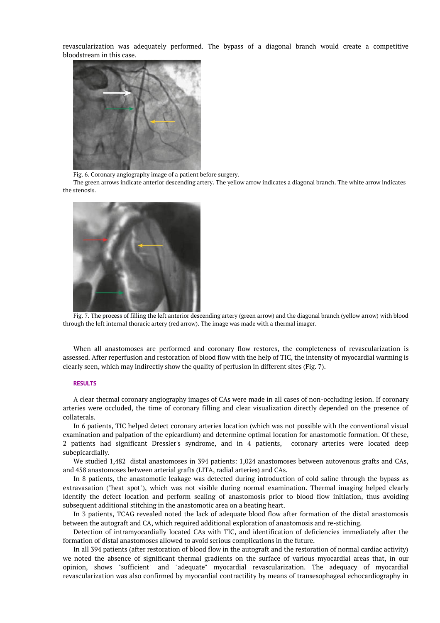revascularization was adequately performed. The bypass of a diagonal branch would create a competitive bloodstream in this case.



Fig. 6. Coronary angiography image of a patient before surgery.

The green arrows indicate anterior descending artery. The yellow arrow indicates a diagonal branch. The white arrow indicates the stenosis.



Fig. 7. The process of filling the left anterior descending artery (green arrow) and the diagonal branch (yellow arrow) with blood through the left internal thoracic artery (red arrow). The image was made with a thermal imager.

When all anastomoses are performed and coronary flow restores, the completeness of revascularization is assessed. After reperfusion and restoration of blood flow with the help of TIC, the intensity of myocardial warming is clearly seen, which may indirectly show the quality of perfusion in different sites (Fig. 7).

# **RESULTS**

A clear thermal coronary angiography images of CAs were made in all cases of non-occluding lesion. If coronary arteries were occluded, the time of coronary filling and clear visualization directly depended on the presence of collaterals.

In 6 patients, TIC helped detect coronary arteries location (which was not possible with the conventional visual examination and palpation of the epicardium) and determine optimal location for anastomotic formation. Of these, 2 patients had significant Dressler's syndrome, and in 4 patients, coronary arteries were located deep subepicardially.

We studied 1,482 distal anastomoses in 394 patients: 1,024 anastomoses between autovenous grafts and CAs, and 458 anastomoses between arterial grafts (LITA, radial arteries) and CAs.

In 8 patients, the anastomotic leakage was detected during introduction of cold saline through the bypass as extravasation ("heat spot"), which was not visible during normal examination. Thermal imaging helped clearly identify the defect location and perform sealing of anastomosis prior to blood flow initiation, thus avoiding subsequent additional stitching in the anastomotic area on a beating heart.

In 3 patients, TCAG revealed noted the lack of adequate blood flow after formation of the distal anastomosis between the autograft and CA, which required additional exploration of anastomosis and re-stiching.

Detection of intramyocardially located CAs with TIC, and identification of deficiencies immediately after the formation of distal anastomoses allowed to avoid serious complications in the future.

In all 394 patients (after restoration of blood flow in the autograft and the restoration of normal cardiac activity) we noted the absence of significant thermal gradients on the surface of various myocardial areas that, in our opinion, shows "sufficient" and "adequate" myocardial revascularization. The adequacy of myocardial revascularization was also confirmed by myocardial contractility by means of transesophageal echocardiography in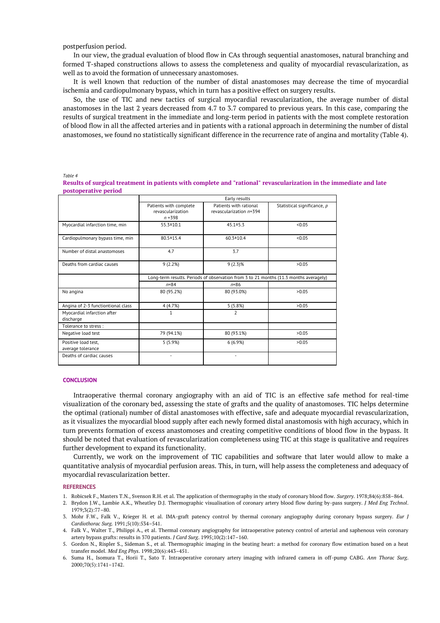postperfusion period.

In our view, the gradual evaluation of blood flow in CAs through sequential anastomoses, natural branching and formed T-shaped constructions allows to assess the completeness and quality of myocardial revascularization, as well as to avoid the formation of unnecessary anastomoses.

It is well known that reduction of the number of distal anastomoses may decrease the time of myocardial ischemia and cardiopulmonary bypass, which in turn has a positive effect on surgery results.

So, the use of TIC and new tactics of surgical myocardial revascularization, the average number of distal anastomoses in the last 2 years decreased from 4.7 to 3.7 compared to previous years. In this case, comparing the results of surgical treatment in the immediate and long-term period in patients with the most complete restoration of blood flow in all the affected arteries and in patients with a rational approach in determining the number of distal anastomoses, we found no statistically significant difference in the recurrence rate of angina and mortality (Table 4).

*Table 4*

**Results of surgical treatment in patients with complete and "rational" revascularization in the immediate and late postoperative period**

|                                          | Early results                                                                         |                                                   |                             |  |
|------------------------------------------|---------------------------------------------------------------------------------------|---------------------------------------------------|-----------------------------|--|
|                                          | Patients with complete<br>revascularization<br>$n = 398$                              | Patients with rational<br>revascularization n=394 | Statistical significance, p |  |
| Myocardial infarction time, min          | $55.3 \pm 10.1$                                                                       | $45.1 \pm 5.3$                                    | < 0.05                      |  |
| Cardiopulmonary bypass time, min         | 80.5 ± 15.4                                                                           | $60.3 \pm 10.4$                                   | < 0.05                      |  |
| Number of distal anastomoses             | 4.7                                                                                   | 3.7                                               |                             |  |
| Deaths from cardiac causes               | 9(2.2%)                                                                               | $9(2.3)\%$                                        | >0.05                       |  |
|                                          | Long-term results. Periods of observation from 3 to 21 months (11.3 months averagely) |                                                   |                             |  |
|                                          | $n = 84$                                                                              | $n = 86$                                          |                             |  |
| No angina                                | 80 (95.2%)                                                                            | 80 (93.0%)                                        | >0.05                       |  |
| Angina of 2-3 functiontional class       | 4 (4.7%)                                                                              | 5(5.8%)                                           | >0.05                       |  |
| Myocardial infarction after<br>discharge | $\mathbf{1}$                                                                          | $\overline{\phantom{a}}$                          |                             |  |
| Tolerance to stress :                    |                                                                                       |                                                   |                             |  |
| Negative load test                       | 79 (94.1%)                                                                            | 80 (93.1%)                                        | >0.05                       |  |
| Positive load test,<br>average tolerance | 5(5.9%)                                                                               | 6(6.9%)                                           | >0.05                       |  |
| Deaths of cardiac causes                 | ٠                                                                                     |                                                   |                             |  |

### **CONCLUSION**

Intraoperative thermal coronary angiography with an aid of TIC is an effective safe method for real-time visualization of the coronary bed, assessing the state of grafts and the quality of anastomoses. TIC helps determine the optimal (rational) number of distal anastomoses with effective, safe and adequate myocardial revascularization, as it visualizes the myocardial blood supply after each newly formed distal anastomosis with high accuracy, which in turn prevents formation of excess anastomoses and creating competitive conditions of blood flow in the bypass. It should be noted that evaluation of revascularization completeness using TIC at this stage is qualitative and requires further development to expand its functionality.

Currently, we work on the improvement of TIC capabilities and software that later would allow to make a quantitative analysis of myocardial perfusion areas. This, in turn, will help assess the completeness and adequacy of myocardial revascularization better.

### **REFERENCES**

- 1. Robicsek F., Masters T.N., Svenson R.H. et al. The application of thermography in the study of coronary blood flow. *Surgery*. 1978;84(6):858–864.
- 2. Brydon J.W., Lambie A.K., Wheatley D.J. Thermographic visualisation of coronary artery blood flow during by-pass surgery. *J Med Eng Technol*. 1979;3(2):77–80.
- 3. Mohr F.W., Falk V., Krieger H. et al. IMA-graft patency control by thermal coronary angiography during coronary bypass surgery. *Eur J Cardiothorac Surg.* 1991;5(10):534–541.
- 4. Falk V., Walter T., Philippi A., et al. Thermal coronary angiography for intraoperative patency control of arterial and saphenous vein coronary artery bypass grafts: results in 370 patients. *J Card Surg*. 1995;10(2):147–160.
- 5. Gordon N., Rispler S., Sideman S., et al. Thermographic imaging in the beating heart: a method for coronary flow estimation based on a heat transfer model. *Med Eng Phys*. 1998;20(6):443–451.
- 6. Suma H., Isomura T., Horii T., Sato T. Intraoperative coronary artery imaging with infrared camera in off-pump CABG. *Ann Thorac Surg*. 2000;70(5):1741–1742.